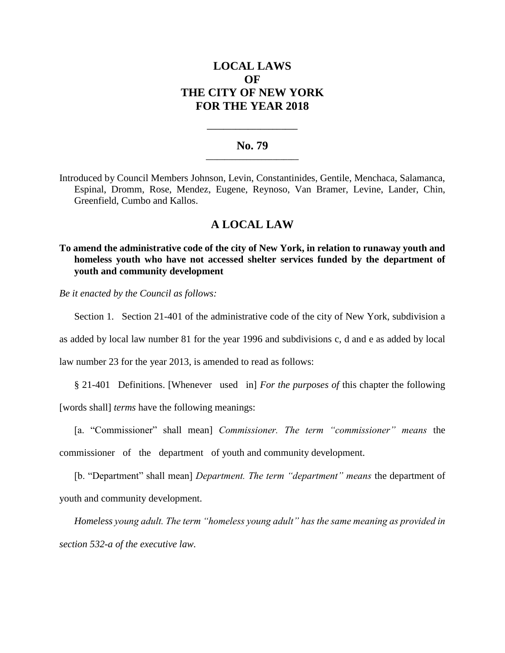# **LOCAL LAWS OF THE CITY OF NEW YORK FOR THE YEAR 2018**

## **No. 79 \_\_\_\_\_\_\_\_\_\_\_\_\_\_\_\_\_\_\_\_\_\_\_\_\_**

**\_\_\_\_\_\_\_\_\_\_\_\_\_\_\_\_\_\_\_\_\_\_**

Introduced by Council Members Johnson, Levin, Constantinides, Gentile, Menchaca, Salamanca, Espinal, Dromm, Rose, Mendez, Eugene, Reynoso, Van Bramer, Levine, Lander, Chin, Greenfield, Cumbo and Kallos.

# **A LOCAL LAW**

**To amend the administrative code of the city of New York, in relation to runaway youth and homeless youth who have not accessed shelter services funded by the department of youth and community development**

*Be it enacted by the Council as follows:*

Section 1. Section 21-401 of the administrative code of the city of New York, subdivision a

as added by local law number 81 for the year 1996 and subdivisions c, d and e as added by local

law number 23 for the year 2013, is amended to read as follows:

§ 21-401 Definitions. [Whenever used in] *For the purposes of* this chapter the following

[words shall] *terms* have the following meanings:

[a. "Commissioner" shall mean] *Commissioner. The term "commissioner" means* the commissioner of the department of youth and community development.

[b. "Department" shall mean] *Department. The term "department" means* the department of youth and community development.

*Homeless young adult. The term "homeless young adult" has the same meaning as provided in section 532-a of the executive law.*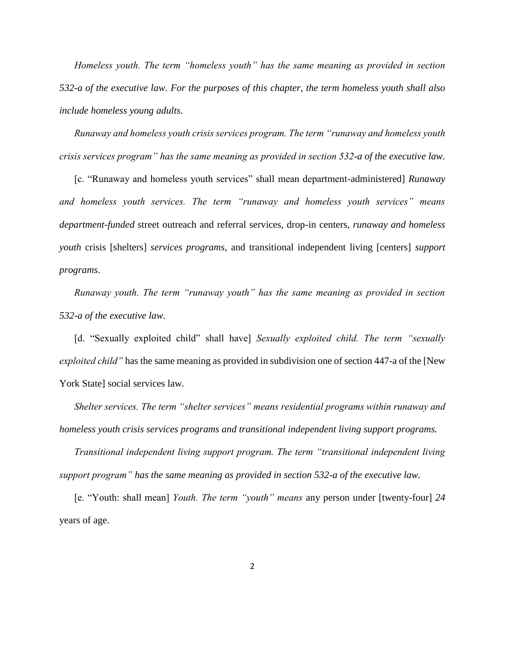*Homeless youth. The term "homeless youth" has the same meaning as provided in section 532-a of the executive law. For the purposes of this chapter, the term homeless youth shall also include homeless young adults.*

*Runaway and homeless youth crisis services program. The term "runaway and homeless youth crisis services program" has the same meaning as provided in section 532-a of the executive law.* 

[c. "Runaway and homeless youth services" shall mean department-administered] *Runaway and homeless youth services. The term "runaway and homeless youth services" means department-funded* street outreach and referral services, drop-in centers, *runaway and homeless youth* crisis [shelters] *services programs*, and transitional independent living [centers] *support programs*.

*Runaway youth. The term "runaway youth" has the same meaning as provided in section 532-a of the executive law.*

[d. "Sexually exploited child" shall have] *Sexually exploited child. The term "sexually exploited child"* has the same meaning as provided in subdivision one of section 447-a of the [New York State] social services law.

*Shelter services. The term "shelter services" means residential programs within runaway and homeless youth crisis services programs and transitional independent living support programs.*

*Transitional independent living support program. The term "transitional independent living support program" has the same meaning as provided in section 532-a of the executive law.*

[e. "Youth: shall mean] *Youth. The term "youth" means* any person under [twenty-four] *24* years of age.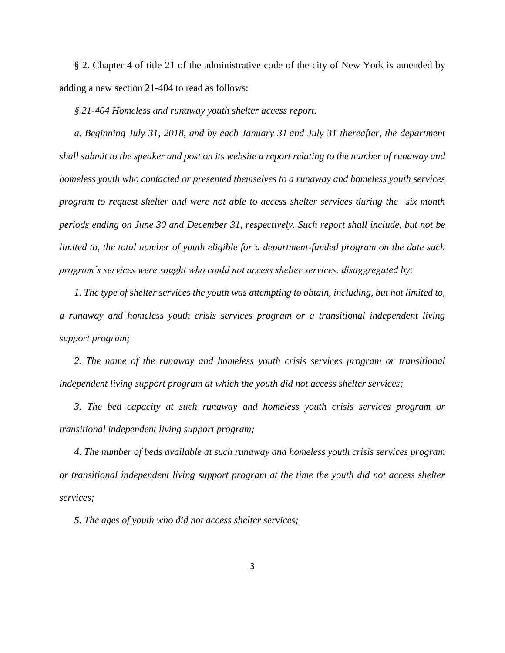§ 2. Chapter 4 of title 21 of the administrative code of the city of New York is amended by adding a new section 21-404 to read as follows:

*§ 21-404 Homeless and runaway youth shelter access report.* 

*a. Beginning July 31, 2018, and by each January 31 and July 31 thereafter, the department shall submit to the speaker and post on its website a report relating to the number of runaway and homeless youth who contacted or presented themselves to a runaway and homeless youth services program to request shelter and were not able to access shelter services during the six month periods ending on June 30 and December 31, respectively. Such report shall include, but not be limited to, the total number of youth eligible for a department-funded program on the date such program's services were sought who could not access shelter services, disaggregated by:* 

*1. The type of shelter services the youth was attempting to obtain, including, but not limited to, a runaway and homeless youth crisis services program or a transitional independent living support program;* 

2. The name of the runaway and homeless youth crisis services program or transitional *independent living support program at which the youth did not access shelter services;* 

*3. The bed capacity at such runaway and homeless youth crisis services program or transitional independent living support program;*

*4. The number of beds available at such runaway and homeless youth crisis services program or transitional independent living support program at the time the youth did not access shelter services;*

*5. The ages of youth who did not access shelter services;*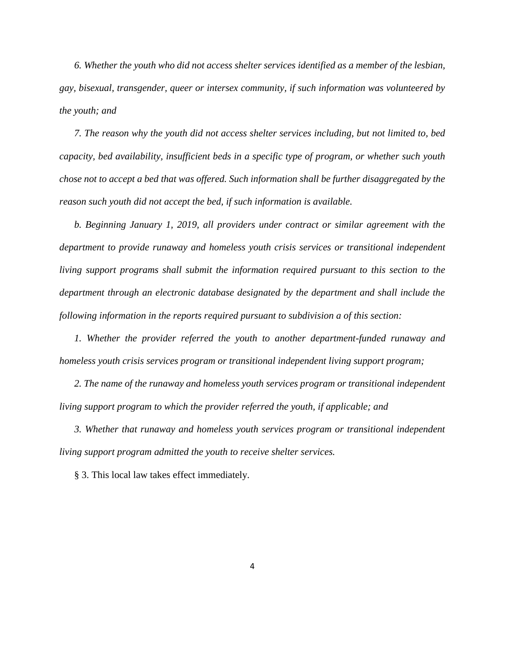*6. Whether the youth who did not access shelter services identified as a member of the lesbian, gay, bisexual, transgender, queer or intersex community, if such information was volunteered by the youth; and*

*7. The reason why the youth did not access shelter services including, but not limited to, bed capacity, bed availability, insufficient beds in a specific type of program, or whether such youth chose not to accept a bed that was offered. Such information shall be further disaggregated by the reason such youth did not accept the bed, if such information is available.* 

*b. Beginning January 1, 2019, all providers under contract or similar agreement with the department to provide runaway and homeless youth crisis services or transitional independent living support programs shall submit the information required pursuant to this section to the department through an electronic database designated by the department and shall include the following information in the reports required pursuant to subdivision a of this section:*

*1. Whether the provider referred the youth to another department-funded runaway and homeless youth crisis services program or transitional independent living support program;*

2. The name of the runaway and homeless youth services program or transitional independent *living support program to which the provider referred the youth, if applicable; and* 

*3. Whether that runaway and homeless youth services program or transitional independent living support program admitted the youth to receive shelter services.*

§ 3. This local law takes effect immediately.